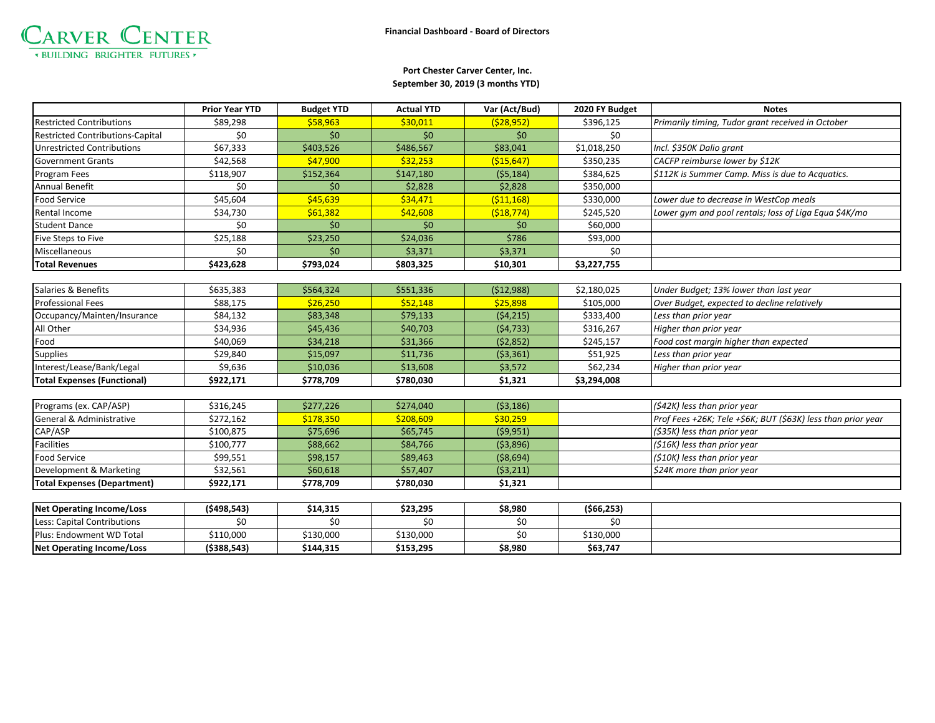

## **September 30, 2019 (3 months YTD) Port Chester Carver Center, Inc.**

|                                         | <b>Prior Year YTD</b> | <b>Budget YTD</b> | <b>Actual YTD</b> | Var (Act/Bud) | 2020 FY Budget | <b>Notes</b>                                                 |
|-----------------------------------------|-----------------------|-------------------|-------------------|---------------|----------------|--------------------------------------------------------------|
| <b>Restricted Contributions</b>         | \$89,298              | \$58,963          | \$30,011          | (528, 952)    | \$396,125      | Primarily timing, Tudor grant received in October            |
| <b>Restricted Contributions-Capital</b> | \$0                   | \$0               | \$0               | \$0           | \$0            |                                                              |
| <b>Unrestricted Contributions</b>       | \$67,333              | \$403,526         | \$486,567         | \$83,041      | \$1,018,250    | Incl. \$350K Dalio grant                                     |
| <b>Government Grants</b>                | \$42,568              | \$47,900          | \$32,253          | ( \$15,647)   | \$350,235      | CACFP reimburse lower by \$12K                               |
| Program Fees                            | \$118,907             | \$152,364         | \$147,180         | (55, 184)     | \$384,625      | \$112K is Summer Camp. Miss is due to Acquatics.             |
| <b>Annual Benefit</b>                   | \$0                   | \$0               | \$2,828           | \$2,828       | \$350,000      |                                                              |
| Food Service                            | \$45,604              | \$45,639          | \$34,471          | ( \$11,168)   | \$330,000      | Lower due to decrease in WestCop meals                       |
| Rental Income                           | \$34,730              | \$61,382          | \$42,608          | ( \$18, 774)  | \$245,520      | Lower gym and pool rentals; loss of Liga Equa \$4K/mo        |
| <b>Student Dance</b>                    | \$0                   | \$0               | \$0               | \$0           | \$60,000       |                                                              |
| Five Steps to Five                      | \$25,188              | \$23,250          | \$24,036          | \$786         | \$93,000       |                                                              |
| Miscellaneous                           | \$0                   | \$0               | \$3,371           | \$3,371       | \$0            |                                                              |
| <b>Total Revenues</b>                   | \$423,628             | \$793,024         | \$803,325         | \$10,301      | \$3,227,755    |                                                              |
|                                         |                       |                   |                   |               |                |                                                              |
| Salaries & Benefits                     | \$635,383             | \$564,324         | \$551,336         | (512,988)     | \$2,180,025    | Under Budget; 13% lower than last year                       |
| <b>Professional Fees</b>                | \$88,175              | \$26,250          | \$52,148          | \$25,898      | \$105,000      | Over Budget, expected to decline relatively                  |
| Occupancy/Mainten/Insurance             | \$84,132              | \$83,348          | \$79,133          | (54, 215)     | \$333,400      | Less than prior year                                         |
| All Other                               | \$34,936              | \$45,436          | \$40,703          | (54, 733)     | \$316,267      | Higher than prior year                                       |
| Food                                    | \$40,069              | \$34,218          | \$31,366          | (52,852)      | \$245,157      | Food cost margin higher than expected                        |
| <b>Supplies</b>                         | \$29,840              | \$15,097          | \$11,736          | (53,361)      | \$51,925       | Less than prior year                                         |
| Interest/Lease/Bank/Legal               | \$9,636               | \$10,036          | \$13,608          | \$3,572       | \$62,234       | Higher than prior year                                       |
| <b>Total Expenses (Functional)</b>      | \$922,171             | \$778,709         | \$780,030         | \$1,321       | \$3,294,008    |                                                              |
|                                         |                       |                   |                   |               |                |                                                              |
| Programs (ex. CAP/ASP)                  | \$316,245             | \$277,226         | \$274,040         | ( \$3,186)    |                | (\$42K) less than prior year                                 |
| General & Administrative                | \$272,162             | \$178,350         | \$208,609         | \$30,259      |                | Prof Fees +26K; Tele +\$6K; BUT (\$63K) less than prior year |
| CAP/ASP                                 | \$100,875             | \$75,696          | \$65,745          | (59,951)      |                | (\$35K) less than prior year                                 |
| <b>Facilities</b>                       | \$100,777             | \$88,662          | \$84,766          | ( \$3,896)    |                | (\$16K) less than prior year                                 |
| <b>Food Service</b>                     | \$99,551              | \$98,157          | \$89,463          | ( \$8,694)    |                | (\$10K) less than prior year                                 |
| Development & Marketing                 | \$32,561              | \$60,618          | \$57,407          | (53,211)      |                | \$24K more than prior year                                   |
| <b>Total Expenses (Department)</b>      | \$922,171             | \$778,709         | \$780,030         | \$1,321       |                |                                                              |
|                                         |                       |                   |                   |               |                |                                                              |
| <b>Net Operating Income/Loss</b>        | (5498, 543)           | \$14,315          | \$23,295          | \$8,980       | (566, 253)     |                                                              |
| Less: Capital Contributions             | \$0                   | \$0               | \$0               | \$0           | \$0            |                                                              |
| Plus: Endowment WD Total                | \$110,000             | \$130,000         | \$130,000         | \$0           | \$130,000      |                                                              |
| Net Operating Income/Loss               | ( \$388, 543)         | \$144.315         | \$153,295         | \$8,980       | \$63.747       |                                                              |